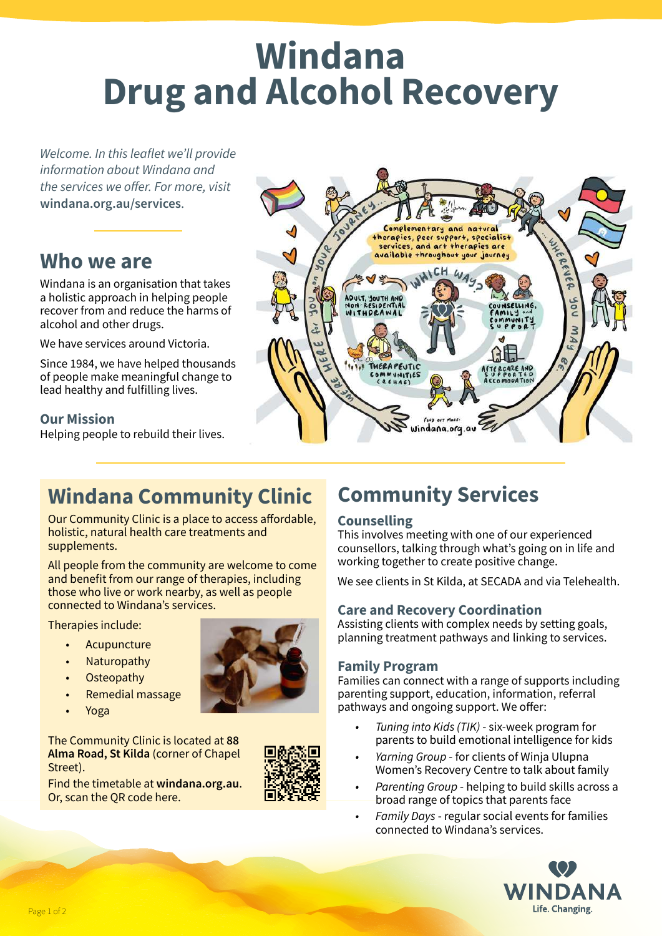# **Windana Drug and Alcohol Recovery**

*Welcome. In this leaflet we'll provide information about Windana and the services we offer. For more, visit*  **windana.org.au/services**.

### **Who we are**

Windana is an organisation that takes a holistic approach in helping people recover from and reduce the harms of alcohol and other drugs.

We have services around Victoria.

Since 1984, we have helped thousands of people make meaningful change to lead healthy and fulfilling lives.

#### **Our Mission**

Helping people to rebuild their lives.



# **Windana Community Clinic**

Our Community Clinic is a place to access affordable, holistic, natural health care treatments and supplements.

All people from the community are welcome to come and benefit from our range of therapies, including those who live or work nearby, as well as people connected to Windana's services.

Therapies include:

- Acupuncture
- **Naturopathy**
- Osteopathy
- Remedial massage
- Yoga

The Community Clinic is located at **88 Alma Road, St Kilda** (corner of Chapel Street).



Find the timetable at **windana.org.au**. Or, scan the QR code here.



### **Community Services**

#### **Counselling**

This involves meeting with one of our experienced counsellors, talking through what's going on in life and working together to create positive change.

We see clients in St Kilda, at SECADA and via Telehealth.

#### **Care and Recovery Coordination**

Assisting clients with complex needs by setting goals, planning treatment pathways and linking to services.

#### **Family Program**

Families can connect with a range of supports including parenting support, education, information, referral pathways and ongoing support. We offer:

- *Tuning into Kids (TIK)* six-week program for parents to build emotional intelligence for kids
- *Yarning Group* for clients of Winja Ulupna Women's Recovery Centre to talk about family
- *Parenting Group* helping to build skills across a broad range of topics that parents face
- *Family Days* regular social events for families connected to Windana's services.